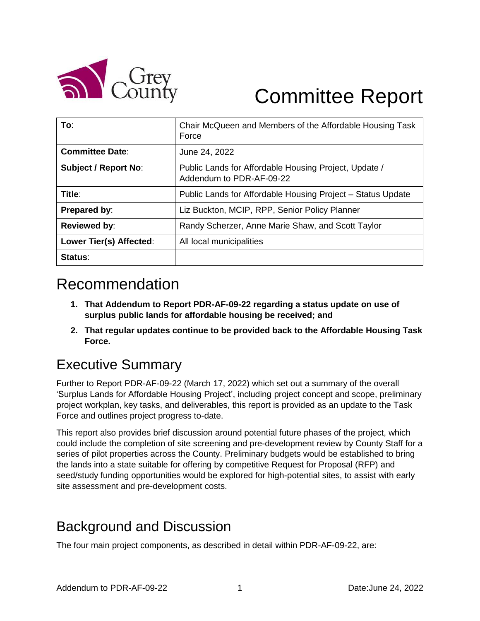

# Committee Report

| To:                         | Chair McQueen and Members of the Affordable Housing Task<br>Force                 |
|-----------------------------|-----------------------------------------------------------------------------------|
| <b>Committee Date:</b>      | June 24, 2022                                                                     |
| <b>Subject / Report No:</b> | Public Lands for Affordable Housing Project, Update /<br>Addendum to PDR-AF-09-22 |
| Title:                      | Public Lands for Affordable Housing Project – Status Update                       |
| Prepared by:                | Liz Buckton, MCIP, RPP, Senior Policy Planner                                     |
| <b>Reviewed by:</b>         | Randy Scherzer, Anne Marie Shaw, and Scott Taylor                                 |
| Lower Tier(s) Affected:     | All local municipalities                                                          |
| Status:                     |                                                                                   |

# Recommendation

- **1. That Addendum to Report PDR-AF-09-22 regarding a status update on use of surplus public lands for affordable housing be received; and**
- **2. That regular updates continue to be provided back to the Affordable Housing Task Force.**

# Executive Summary

Further to Report PDR-AF-09-22 (March 17, 2022) which set out a summary of the overall 'Surplus Lands for Affordable Housing Project', including project concept and scope, preliminary project workplan, key tasks, and deliverables, this report is provided as an update to the Task Force and outlines project progress to-date.

This report also provides brief discussion around potential future phases of the project, which could include the completion of site screening and pre-development review by County Staff for a series of pilot properties across the County. Preliminary budgets would be established to bring the lands into a state suitable for offering by competitive Request for Proposal (RFP) and seed/study funding opportunities would be explored for high-potential sites, to assist with early site assessment and pre-development costs.

# Background and Discussion

The four main project components, as described in detail within PDR-AF-09-22, are: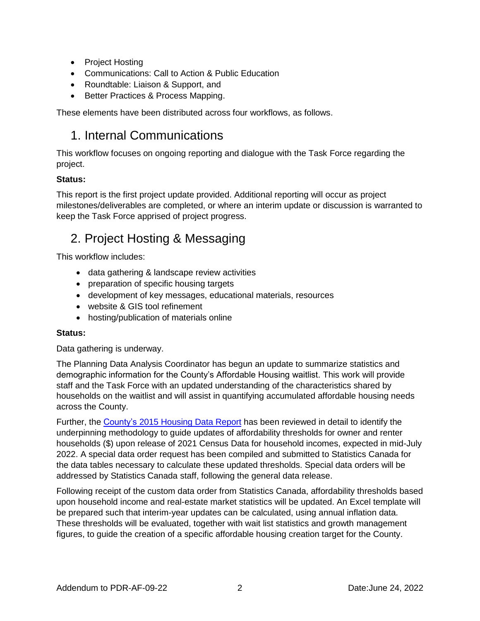- Project Hosting
- Communications: Call to Action & Public Education
- Roundtable: Liaison & Support, and
- Better Practices & Process Mapping.

These elements have been distributed across four workflows, as follows.

### 1. Internal Communications

This workflow focuses on ongoing reporting and dialogue with the Task Force regarding the project.

#### **Status:**

This report is the first project update provided. Additional reporting will occur as project milestones/deliverables are completed, or where an interim update or discussion is warranted to keep the Task Force apprised of project progress.

### 2. Project Hosting & Messaging

This workflow includes:

- data gathering & landscape review activities
- preparation of specific housing targets
- development of key messages, educational materials, resources
- website & GIS tool refinement
- hosting/publication of materials online

#### **Status:**

Data gathering is underway.

The Planning Data Analysis Coordinator has begun an update to summarize statistics and demographic information for the County's Affordable Housing waitlist. This work will provide staff and the Task Force with an updated understanding of the characteristics shared by households on the waitlist and will assist in quantifying accumulated affordable housing needs across the County.

Further, the County's [2015 Housing Data Report](https://docs.grey.ca/share/s/SsqqW3ABQaqjmNdY7w2CLA) has been reviewed in detail to identify the underpinning methodology to guide updates of affordability thresholds for owner and renter households (\$) upon release of 2021 Census Data for household incomes, expected in mid-July 2022. A special data order request has been compiled and submitted to Statistics Canada for the data tables necessary to calculate these updated thresholds. Special data orders will be addressed by Statistics Canada staff, following the general data release.

Following receipt of the custom data order from Statistics Canada, affordability thresholds based upon household income and real-estate market statistics will be updated. An Excel template will be prepared such that interim-year updates can be calculated, using annual inflation data. These thresholds will be evaluated, together with wait list statistics and growth management figures, to guide the creation of a specific affordable housing creation target for the County.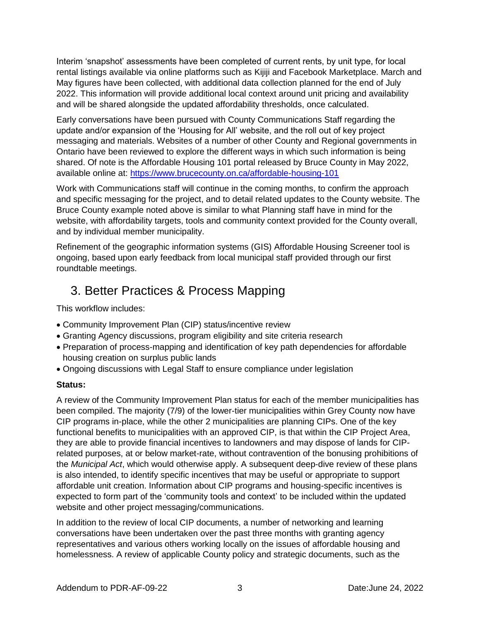Interim 'snapshot' assessments have been completed of current rents, by unit type, for local rental listings available via online platforms such as Kijiji and Facebook Marketplace. March and May figures have been collected, with additional data collection planned for the end of July 2022. This information will provide additional local context around unit pricing and availability and will be shared alongside the updated affordability thresholds, once calculated.

Early conversations have been pursued with County Communications Staff regarding the update and/or expansion of the 'Housing for All' website, and the roll out of key project messaging and materials. Websites of a number of other County and Regional governments in Ontario have been reviewed to explore the different ways in which such information is being shared. Of note is the Affordable Housing 101 portal released by Bruce County in May 2022, available online at:<https://www.brucecounty.on.ca/affordable-housing-101>

Work with Communications staff will continue in the coming months, to confirm the approach and specific messaging for the project, and to detail related updates to the County website. The Bruce County example noted above is similar to what Planning staff have in mind for the website, with affordability targets, tools and community context provided for the County overall, and by individual member municipality.

Refinement of the geographic information systems (GIS) Affordable Housing Screener tool is ongoing, based upon early feedback from local municipal staff provided through our first roundtable meetings.

### 3. Better Practices & Process Mapping

This workflow includes:

- Community Improvement Plan (CIP) status/incentive review
- Granting Agency discussions, program eligibility and site criteria research
- Preparation of process-mapping and identification of key path dependencies for affordable housing creation on surplus public lands
- Ongoing discussions with Legal Staff to ensure compliance under legislation

#### **Status:**

A review of the Community Improvement Plan status for each of the member municipalities has been compiled. The majority (7/9) of the lower-tier municipalities within Grey County now have CIP programs in-place, while the other 2 municipalities are planning CIPs. One of the key functional benefits to municipalities with an approved CIP, is that within the CIP Project Area, they are able to provide financial incentives to landowners and may dispose of lands for CIPrelated purposes, at or below market-rate, without contravention of the bonusing prohibitions of the *Municipal Act*, which would otherwise apply. A subsequent deep-dive review of these plans is also intended, to identify specific incentives that may be useful or appropriate to support affordable unit creation. Information about CIP programs and housing-specific incentives is expected to form part of the 'community tools and context' to be included within the updated website and other project messaging/communications.

In addition to the review of local CIP documents, a number of networking and learning conversations have been undertaken over the past three months with granting agency representatives and various others working locally on the issues of affordable housing and homelessness. A review of applicable County policy and strategic documents, such as the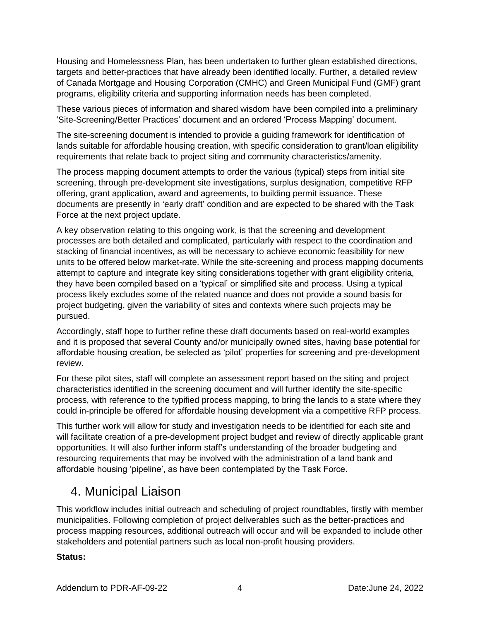Housing and Homelessness Plan, has been undertaken to further glean established directions, targets and better-practices that have already been identified locally. Further, a detailed review of Canada Mortgage and Housing Corporation (CMHC) and Green Municipal Fund (GMF) grant programs, eligibility criteria and supporting information needs has been completed.

These various pieces of information and shared wisdom have been compiled into a preliminary 'Site-Screening/Better Practices' document and an ordered 'Process Mapping' document.

The site-screening document is intended to provide a guiding framework for identification of lands suitable for affordable housing creation, with specific consideration to grant/loan eligibility requirements that relate back to project siting and community characteristics/amenity.

The process mapping document attempts to order the various (typical) steps from initial site screening, through pre-development site investigations, surplus designation, competitive RFP offering, grant application, award and agreements, to building permit issuance. These documents are presently in 'early draft' condition and are expected to be shared with the Task Force at the next project update.

A key observation relating to this ongoing work, is that the screening and development processes are both detailed and complicated, particularly with respect to the coordination and stacking of financial incentives, as will be necessary to achieve economic feasibility for new units to be offered below market-rate. While the site-screening and process mapping documents attempt to capture and integrate key siting considerations together with grant eligibility criteria, they have been compiled based on a 'typical' or simplified site and process. Using a typical process likely excludes some of the related nuance and does not provide a sound basis for project budgeting, given the variability of sites and contexts where such projects may be pursued.

Accordingly, staff hope to further refine these draft documents based on real-world examples and it is proposed that several County and/or municipally owned sites, having base potential for affordable housing creation, be selected as 'pilot' properties for screening and pre-development review.

For these pilot sites, staff will complete an assessment report based on the siting and project characteristics identified in the screening document and will further identify the site-specific process, with reference to the typified process mapping, to bring the lands to a state where they could in-principle be offered for affordable housing development via a competitive RFP process.

This further work will allow for study and investigation needs to be identified for each site and will facilitate creation of a pre-development project budget and review of directly applicable grant opportunities. It will also further inform staff's understanding of the broader budgeting and resourcing requirements that may be involved with the administration of a land bank and affordable housing 'pipeline', as have been contemplated by the Task Force.

### 4. Municipal Liaison

This workflow includes initial outreach and scheduling of project roundtables, firstly with member municipalities. Following completion of project deliverables such as the better-practices and process mapping resources, additional outreach will occur and will be expanded to include other stakeholders and potential partners such as local non-profit housing providers.

#### **Status:**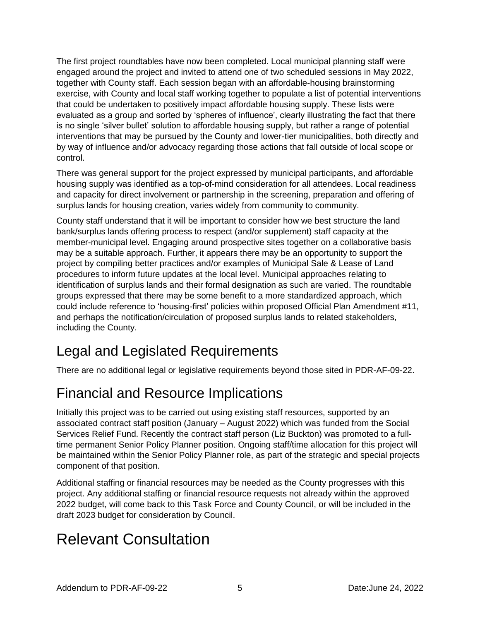The first project roundtables have now been completed. Local municipal planning staff were engaged around the project and invited to attend one of two scheduled sessions in May 2022, together with County staff. Each session began with an affordable-housing brainstorming exercise, with County and local staff working together to populate a list of potential interventions that could be undertaken to positively impact affordable housing supply. These lists were evaluated as a group and sorted by 'spheres of influence', clearly illustrating the fact that there is no single 'silver bullet' solution to affordable housing supply, but rather a range of potential interventions that may be pursued by the County and lower-tier municipalities, both directly and by way of influence and/or advocacy regarding those actions that fall outside of local scope or control.

There was general support for the project expressed by municipal participants, and affordable housing supply was identified as a top-of-mind consideration for all attendees. Local readiness and capacity for direct involvement or partnership in the screening, preparation and offering of surplus lands for housing creation, varies widely from community to community.

County staff understand that it will be important to consider how we best structure the land bank/surplus lands offering process to respect (and/or supplement) staff capacity at the member-municipal level. Engaging around prospective sites together on a collaborative basis may be a suitable approach. Further, it appears there may be an opportunity to support the project by compiling better practices and/or examples of Municipal Sale & Lease of Land procedures to inform future updates at the local level. Municipal approaches relating to identification of surplus lands and their formal designation as such are varied. The roundtable groups expressed that there may be some benefit to a more standardized approach, which could include reference to 'housing-first' policies within proposed Official Plan Amendment #11, and perhaps the notification/circulation of proposed surplus lands to related stakeholders, including the County.

# Legal and Legislated Requirements

There are no additional legal or legislative requirements beyond those sited in PDR-AF-09-22.

# Financial and Resource Implications

Initially this project was to be carried out using existing staff resources, supported by an associated contract staff position (January – August 2022) which was funded from the Social Services Relief Fund. Recently the contract staff person (Liz Buckton) was promoted to a fulltime permanent Senior Policy Planner position. Ongoing staff/time allocation for this project will be maintained within the Senior Policy Planner role, as part of the strategic and special projects component of that position.

Additional staffing or financial resources may be needed as the County progresses with this project. Any additional staffing or financial resource requests not already within the approved 2022 budget, will come back to this Task Force and County Council, or will be included in the draft 2023 budget for consideration by Council.

# Relevant Consultation